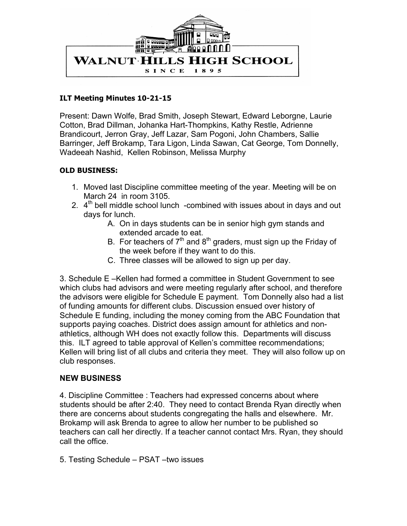

## **ILT Meeting Minutes 10-21-15**

Present: Dawn Wolfe, Brad Smith, Joseph Stewart, Edward Leborgne, Laurie Cotton, Brad Dillman, Johanka Hart-Thompkins, Kathy Restle, Adrienne Brandicourt, Jerron Gray, Jeff Lazar, Sam Pogoni, John Chambers, Sallie Barringer, Jeff Brokamp, Tara Ligon, Linda Sawan, Cat George, Tom Donnelly, Wadeeah Nashid, Kellen Robinson, Melissa Murphy

## **OLD BUSINESS:**

- 1. Moved last Discipline committee meeting of the year. Meeting will be on March 24 in room 3105.
- 2.  $4<sup>th</sup>$  bell middle school lunch -combined with issues about in days and out days for lunch.
	- A. On in days students can be in senior high gym stands and extended arcade to eat.
	- B. For teachers of  $7<sup>th</sup>$  and  $8<sup>th</sup>$  graders, must sign up the Friday of the week before if they want to do this.
	- C. Three classes will be allowed to sign up per day.

3. Schedule E –Kellen had formed a committee in Student Government to see which clubs had advisors and were meeting regularly after school, and therefore the advisors were eligible for Schedule E payment. Tom Donnelly also had a list of funding amounts for different clubs. Discussion ensued over history of Schedule E funding, including the money coming from the ABC Foundation that supports paying coaches. District does assign amount for athletics and nonathletics, although WH does not exactly follow this. Departments will discuss this. ILT agreed to table approval of Kellen's committee recommendations; Kellen will bring list of all clubs and criteria they meet. They will also follow up on club responses.

## **NEW BUSINESS**

4. Discipline Committee : Teachers had expressed concerns about where students should be after 2:40. They need to contact Brenda Ryan directly when there are concerns about students congregating the halls and elsewhere. Mr. Brokamp will ask Brenda to agree to allow her number to be published so teachers can call her directly. If a teacher cannot contact Mrs. Ryan, they should call the office.

5. Testing Schedule – PSAT –two issues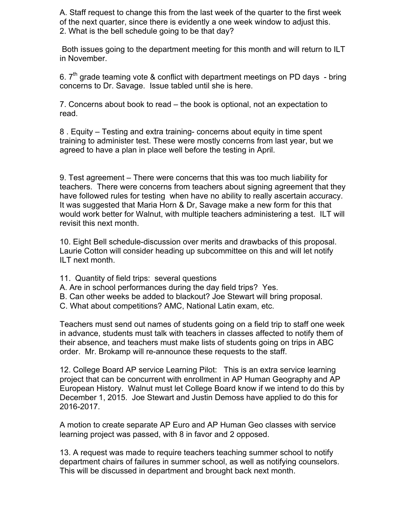A. Staff request to change this from the last week of the quarter to the first week of the next quarter, since there is evidently a one week window to adjust this. 2. What is the bell schedule going to be that day?

Both issues going to the department meeting for this month and will return to ILT in November.

6.  $7<sup>th</sup>$  grade teaming vote & conflict with department meetings on PD days - bring concerns to Dr. Savage. Issue tabled until she is here.

7. Concerns about book to read – the book is optional, not an expectation to read.

8 . Equity – Testing and extra training- concerns about equity in time spent training to administer test. These were mostly concerns from last year, but we agreed to have a plan in place well before the testing in April.

9. Test agreement – There were concerns that this was too much liability for teachers. There were concerns from teachers about signing agreement that they have followed rules for testing when have no ability to really ascertain accuracy. It was suggested that Maria Horn & Dr, Savage make a new form for this that would work better for Walnut, with multiple teachers administering a test. ILT will revisit this next month.

10. Eight Bell schedule-discussion over merits and drawbacks of this proposal. Laurie Cotton will consider heading up subcommittee on this and will let notify ILT next month.

- 11. Quantity of field trips: several questions
- A. Are in school performances during the day field trips? Yes.
- B. Can other weeks be added to blackout? Joe Stewart will bring proposal.
- C. What about competitions? AMC, National Latin exam, etc.

Teachers must send out names of students going on a field trip to staff one week in advance, students must talk with teachers in classes affected to notify them of their absence, and teachers must make lists of students going on trips in ABC order. Mr. Brokamp will re-announce these requests to the staff.

12. College Board AP service Learning Pilot: This is an extra service learning project that can be concurrent with enrollment in AP Human Geography and AP European History. Walnut must let College Board know if we intend to do this by December 1, 2015. Joe Stewart and Justin Demoss have applied to do this for 2016-2017.

A motion to create separate AP Euro and AP Human Geo classes with service learning project was passed, with 8 in favor and 2 opposed.

13. A request was made to require teachers teaching summer school to notify department chairs of failures in summer school, as well as notifying counselors. This will be discussed in department and brought back next month.